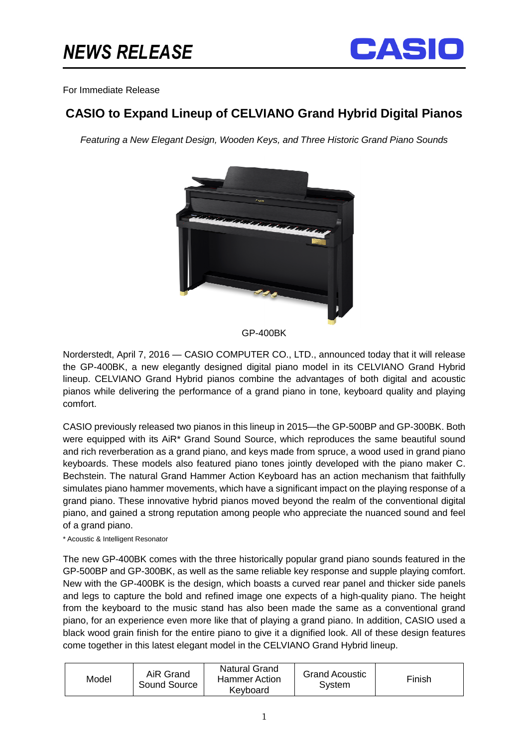

## For Immediate Release

## **CASIO to Expand Lineup of CELVIANO Grand Hybrid Digital Pianos**

Featuring a New Elegant Design, Wooden Keys, and Three Historic Grand Piano Sounds



GP-400BK

Norderstedt, April 7, 2016 — CASIO COMPUTER CO., LTD., announced today that it will release the GP-400BK, a new elegantly designed digital piano model in its CELVIANO Grand Hybrid lineup. CELVIANO Grand Hybrid pianos combine the advantages of both digital and acoustic pianos while delivering the performance of a grand piano in tone, keyboard quality and playing comfort.

CASIO previously released two pianos in this lineup in 2015—the GP-500BP and GP-300BK. Both were equipped with its AiR\* Grand Sound Source, which reproduces the same beautiful sound and rich reverberation as a grand piano, and keys made from spruce, a wood used in grand piano keyboards. These models also featured piano tones jointly developed with the piano maker C. Bechstein. The natural Grand Hammer Action Keyboard has an action mechanism that faithfully simulates piano hammer movements, which have a significant impact on the playing response of a grand piano. These innovative hybrid pianos moved beyond the realm of the conventional digital piano, and gained a strong reputation among people who appreciate the nuanced sound and feel of a grand piano.

\* Acoustic & Intelligent Resonator

The new GP-400BK comes with the three historically popular grand piano sounds featured in the GP-500BP and GP-300BK, as well as the same reliable key response and supple playing comfort. New with the GP-400BK is the design, which boasts a curved rear panel and thicker side panels and legs to capture the bold and refined image one expects of a high-quality piano. The height from the keyboard to the music stand has also been made the same as a conventional grand piano, for an experience even more like that of playing a grand piano. In addition, CASIO used a black wood grain finish for the entire piano to give it a dignified look. All of these design features come together in this latest elegant model in the CELVIANO Grand Hybrid lineup.

| AiR Grand<br>Model<br>Sound Source | <b>Natural Grand</b><br><b>Hammer Action</b><br>Keyboard | <b>Grand Acoustic</b><br>Svstem | Finish |
|------------------------------------|----------------------------------------------------------|---------------------------------|--------|
|------------------------------------|----------------------------------------------------------|---------------------------------|--------|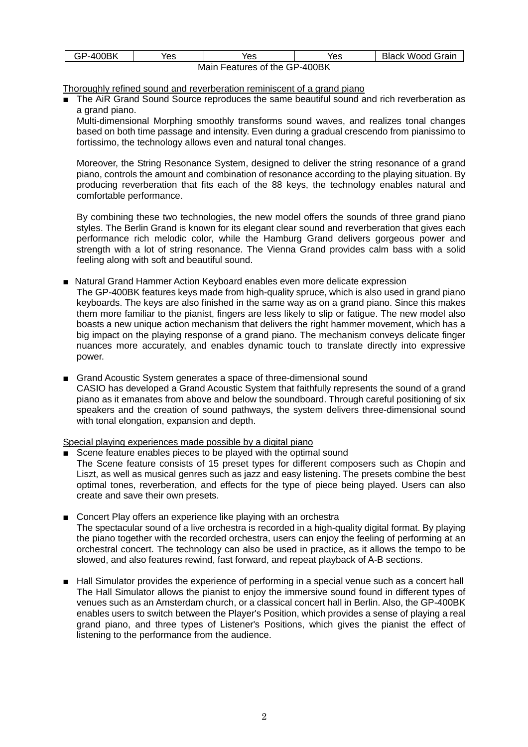| <b>GP-400BK</b>               | 'es | Yes | Yes | Black Wood Grain |  |  |
|-------------------------------|-----|-----|-----|------------------|--|--|
| Main Features of the GP-400BK |     |     |     |                  |  |  |

Thoroughly refined sound and reverberation reminiscent of a grand piano

The AiR Grand Sound Source reproduces the same beautiful sound and rich reverberation as a grand piano.

Multi-dimensional Morphing smoothly transforms sound waves, and realizes tonal changes based on both time passage and intensity. Even during a gradual crescendo from pianissimo to fortissimo, the technology allows even and natural tonal changes.

Moreover, the String Resonance System, designed to deliver the string resonance of a grand piano, controls the amount and combination of resonance according to the playing situation. By producing reverberation that fits each of the 88 keys, the technology enables natural and comfortable performance.

By combining these two technologies, the new model offers the sounds of three grand piano styles. The Berlin Grand is known for its elegant clear sound and reverberation that gives each performance rich melodic color, while the Hamburg Grand delivers gorgeous power and strength with a lot of string resonance. The Vienna Grand provides calm bass with a solid feeling along with soft and beautiful sound.

■ Natural Grand Hammer Action Keyboard enables even more delicate expression

The GP-400BK features keys made from high-quality spruce, which is also used in grand piano keyboards. The keys are also finished in the same way as on a grand piano. Since this makes them more familiar to the pianist, fingers are less likely to slip or fatigue. The new model also boasts a new unique action mechanism that delivers the right hammer movement, which has a big impact on the playing response of a grand piano. The mechanism conveys delicate finger nuances more accurately, and enables dynamic touch to translate directly into expressive power.

■ Grand Acoustic System generates a space of three-dimensional sound CASIO has developed a Grand Acoustic System that faithfully represents the sound of a grand piano as it emanates from above and below the soundboard. Through careful positioning of six speakers and the creation of sound pathways, the system delivers three-dimensional sound with tonal elongation, expansion and depth.

Special playing experiences made possible by a digital piano

- Scene feature enables pieces to be played with the optimal sound The Scene feature consists of 15 preset types for different composers such as Chopin and Liszt, as well as musical genres such as jazz and easy listening. The presets combine the best optimal tones, reverberation, and effects for the type of piece being played. Users can also create and save their own presets.
- Concert Play offers an experience like playing with an orchestra The spectacular sound of a live orchestra is recorded in a high-quality digital format. By playing the piano together with the recorded orchestra, users can enjoy the feeling of performing at an orchestral concert. The technology can also be used in practice, as it allows the tempo to be slowed, and also features rewind, fast forward, and repeat playback of A-B sections.
- Hall Simulator provides the experience of performing in a special venue such as a concert hall The Hall Simulator allows the pianist to enjoy the immersive sound found in different types of venues such as an Amsterdam church, or a classical concert hall in Berlin. Also, the GP-400BK enables users to switch between the Player's Position, which provides a sense of playing a real grand piano, and three types of Listener's Positions, which gives the pianist the effect of listening to the performance from the audience.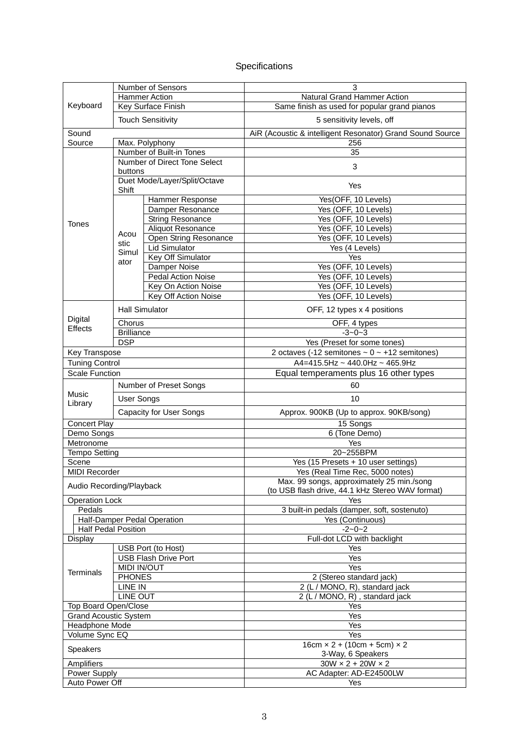## Specifications

|                                |                                 | Number of Sensors            | 3                                                            |  |
|--------------------------------|---------------------------------|------------------------------|--------------------------------------------------------------|--|
| Keyboard                       |                                 | <b>Hammer Action</b>         | <b>Natural Grand Hammer Action</b>                           |  |
|                                | Key Surface Finish              |                              | Same finish as used for popular grand pianos                 |  |
|                                | <b>Touch Sensitivity</b>        |                              | 5 sensitivity levels, off                                    |  |
| Sound                          |                                 |                              | AiR (Acoustic & intelligent Resonator) Grand Sound Source    |  |
| Source<br>Max. Polyphony       |                                 |                              | 256                                                          |  |
|                                |                                 | Number of Built-in Tones     | 35                                                           |  |
|                                |                                 | Number of Direct Tone Select |                                                              |  |
|                                | buttons                         |                              | 3                                                            |  |
|                                |                                 | Duet Mode/Layer/Split/Octave | Yes                                                          |  |
|                                | Shift                           |                              |                                                              |  |
|                                |                                 | Hammer Response              | Yes(OFF, 10 Levels)                                          |  |
|                                |                                 | Damper Resonance             | Yes (OFF, 10 Levels)                                         |  |
| <b>Tones</b>                   |                                 | String Resonance             | Yes (OFF, 10 Levels)                                         |  |
|                                | Acou                            | Aliquot Resonance            | Yes (OFF, 10 Levels)                                         |  |
|                                | stic                            | Open String Resonance        | Yes (OFF, 10 Levels)                                         |  |
|                                | Simul                           | <b>Lid Simulator</b>         | Yes (4 Levels)                                               |  |
|                                | ator                            | Key Off Simulator            | Yes                                                          |  |
|                                |                                 | <b>Damper Noise</b>          | Yes (OFF, 10 Levels)                                         |  |
|                                |                                 | <b>Pedal Action Noise</b>    | Yes (OFF, 10 Levels)                                         |  |
|                                |                                 | Key On Action Noise          | Yes (OFF, 10 Levels)                                         |  |
|                                |                                 | Key Off Action Noise         | Yes (OFF, 10 Levels)                                         |  |
|                                | <b>Hall Simulator</b>           |                              | OFF, 12 types x 4 positions                                  |  |
| Digital<br><b>Effects</b>      | Chorus                          |                              | OFF, 4 types                                                 |  |
|                                | <b>Brilliance</b>               |                              | $-3 - 0 - 3$                                                 |  |
|                                | <b>DSP</b>                      |                              | Yes (Preset for some tones)                                  |  |
| Key Transpose                  |                                 |                              | 2 octaves (-12 semitones $\sim$ 0 $\sim$ +12 semitones)      |  |
| <b>Tuning Control</b>          |                                 |                              | A4=415.5Hz ~ 440.0Hz ~ 465.9Hz                               |  |
| <b>Scale Function</b>          |                                 |                              | Equal temperaments plus 16 other types                       |  |
|                                |                                 | Number of Preset Songs       | 60                                                           |  |
| Music                          | <b>User Songs</b>               |                              | 10                                                           |  |
| Library                        |                                 |                              |                                                              |  |
| <b>Capacity for User Songs</b> |                                 |                              | Approx. 900KB (Up to approx. 90KB/song)                      |  |
| <b>Concert Play</b>            |                                 |                              | 15 Songs                                                     |  |
| Demo Songs                     |                                 |                              | 6 (Tone Demo)                                                |  |
| Metronome                      |                                 |                              | Yes                                                          |  |
| <b>Tempo Setting</b>           |                                 |                              | 20~255BPM                                                    |  |
| Scene                          |                                 |                              | Yes (15 Presets + 10 user settings)                          |  |
| <b>MIDI Recorder</b>           |                                 |                              | Yes (Real Time Rec, 5000 notes)                              |  |
| Audio Recording/Playback       |                                 |                              | Max. 99 songs, approximately 25 min./song                    |  |
| <b>Operation Lock</b>          |                                 |                              | (to USB flash drive, 44.1 kHz Stereo WAV format)<br>Yes      |  |
| Pedals                         |                                 |                              |                                                              |  |
|                                |                                 | Half-Damper Pedal Operation  | 3 built-in pedals (damper, soft, sostenuto)                  |  |
|                                |                                 |                              | Yes (Continuous)                                             |  |
| <b>Half Pedal Position</b>     |                                 |                              | $-2 - 0 - 2$                                                 |  |
| Display                        |                                 |                              | Full-dot LCD with backlight                                  |  |
|                                | USB Port (to Host)              |                              | Yes                                                          |  |
| <b>Terminals</b>               | <b>USB Flash Drive Port</b>     |                              | Yes                                                          |  |
|                                | <b>MIDI IN/OUT</b>              |                              | Yes                                                          |  |
|                                | <b>PHONES</b><br><b>LINE IN</b> |                              | 2 (Stereo standard jack)                                     |  |
|                                |                                 |                              | 2 (L / MONO, R), standard jack                               |  |
| <b>LINE OUT</b>                |                                 |                              | $2(L/MONO, R)$ , standard jack                               |  |
| Top Board Open/Close           |                                 |                              | Yes                                                          |  |
| <b>Grand Acoustic System</b>   |                                 |                              | Yes                                                          |  |
| Headphone Mode                 |                                 |                              | Yes                                                          |  |
| Volume Sync EQ                 |                                 |                              | Yes                                                          |  |
| Speakers                       |                                 |                              | $16cm \times 2 + (10cm + 5cm) \times 2$<br>3-Way, 6 Speakers |  |
| Amplifiers                     |                                 |                              | $30W \times 2 + 20W \times 2$                                |  |
| Power Supply                   |                                 |                              | AC Adapter: AD-E24500LW                                      |  |
| Auto Power Off                 |                                 |                              | Yes                                                          |  |